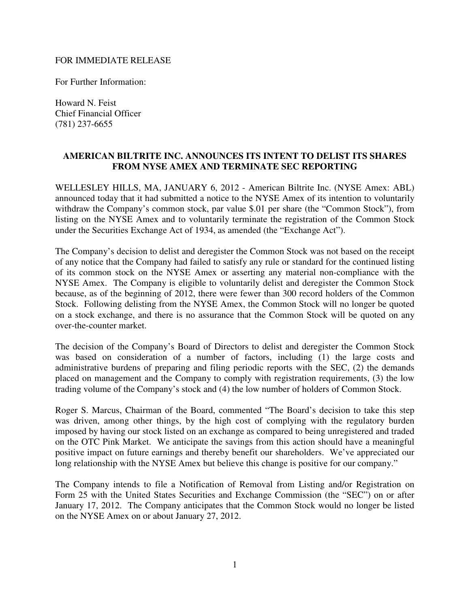## FOR IMMEDIATE RELEASE

For Further Information:

Howard N. Feist Chief Financial Officer (781) 237-6655

## **AMERICAN BILTRITE INC. ANNOUNCES ITS INTENT TO DELIST ITS SHARES FROM NYSE AMEX AND TERMINATE SEC REPORTING**

WELLESLEY HILLS, MA, JANUARY 6, 2012 - American Biltrite Inc. (NYSE Amex: ABL) announced today that it had submitted a notice to the NYSE Amex of its intention to voluntarily withdraw the Company's common stock, par value \$.01 per share (the "Common Stock"), from listing on the NYSE Amex and to voluntarily terminate the registration of the Common Stock under the Securities Exchange Act of 1934, as amended (the "Exchange Act").

The Company's decision to delist and deregister the Common Stock was not based on the receipt of any notice that the Company had failed to satisfy any rule or standard for the continued listing of its common stock on the NYSE Amex or asserting any material non-compliance with the NYSE Amex. The Company is eligible to voluntarily delist and deregister the Common Stock because, as of the beginning of 2012, there were fewer than 300 record holders of the Common Stock. Following delisting from the NYSE Amex, the Common Stock will no longer be quoted on a stock exchange, and there is no assurance that the Common Stock will be quoted on any over-the-counter market.

The decision of the Company's Board of Directors to delist and deregister the Common Stock was based on consideration of a number of factors, including (1) the large costs and administrative burdens of preparing and filing periodic reports with the SEC, (2) the demands placed on management and the Company to comply with registration requirements, (3) the low trading volume of the Company's stock and (4) the low number of holders of Common Stock.

Roger S. Marcus, Chairman of the Board, commented "The Board's decision to take this step was driven, among other things, by the high cost of complying with the regulatory burden imposed by having our stock listed on an exchange as compared to being unregistered and traded on the OTC Pink Market. We anticipate the savings from this action should have a meaningful positive impact on future earnings and thereby benefit our shareholders. We've appreciated our long relationship with the NYSE Amex but believe this change is positive for our company."

The Company intends to file a Notification of Removal from Listing and/or Registration on Form 25 with the United States Securities and Exchange Commission (the "SEC") on or after January 17, 2012. The Company anticipates that the Common Stock would no longer be listed on the NYSE Amex on or about January 27, 2012.